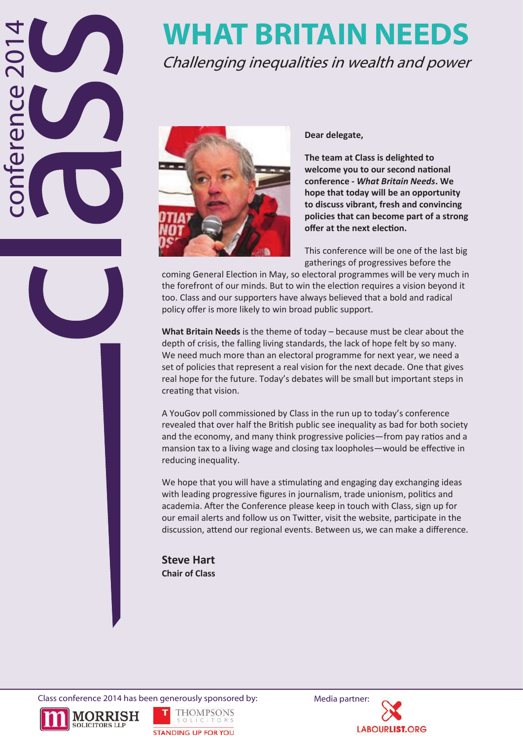# conference 2014 nterence

# **WHAT BRITAIN NEEDS**

Challenging inequalities in wealth and power



**Dear delegate,** 

**The team at Class is delighted to welcome you to our second national conference -** *What Britain Needs***. We hope that today will be an opportunity to discuss vibrant, fresh and convincing policies that can become part of a strong offer at the next election.** 

This conference will be one of the last big gatherings of progressives before the

coming General Election in May, so electoral programmes will be very much in the forefront of our minds. But to win the election requires a vision beyond it too. Class and our supporters have always believed that a bold and radical policy offer is more likely to win broad public support.

**What Britain Needs** is the theme of today – because must be clear about the depth of crisis, the falling living standards, the lack of hope felt by so many. We need much more than an electoral programme for next year, we need a set of policies that represent a real vision for the next decade. One that gives real hope for the future. Today's debates will be small but important steps in creating that vision.

A YouGov poll commissioned by Class in the run up to today's conference revealed that over half the British public see inequality as bad for both society and the economy, and many think progressive policies—from pay ratios and a mansion tax to a living wage and closing tax loopholes—would be effective in reducing inequality.

We hope that you will have a stimulating and engaging day exchanging ideas with leading progressive figures in journalism, trade unionism, politics and academia. After the Conference please keep in touch with Class, sign up for our email alerts and follow us on Twitter, visit the website, participate in the discussion, attend our regional events. Between us, we can make a difference.

**Steve Hart Chair of Class**

Class conference 2014 has been generously sponsored by: Media partner:





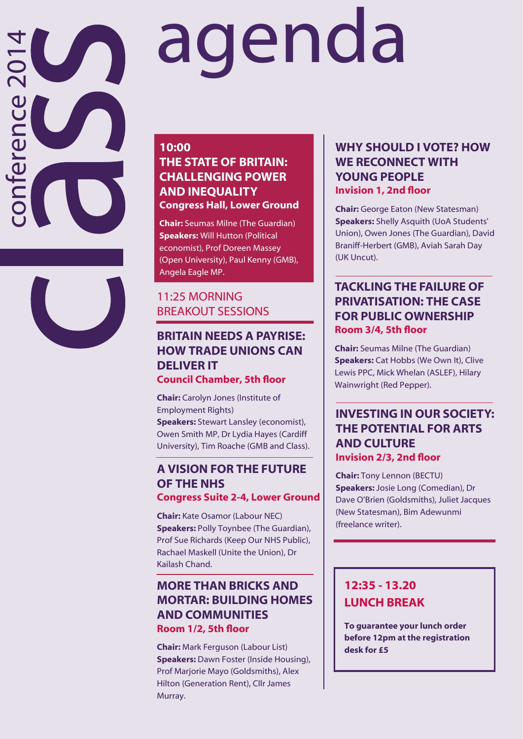# agenda

#### **10:00 THE STATE OF BRITAIN: CHALLENGING POWER AND INEQUALITY Congress Hall, Lower Ground**

conference 2014

nteren

**Chair:** Seumas Milne (The Guardian) **Speakers:** Will Hutton (Political economist), Prof Doreen Massey (Open University), Paul Kenny (GMB), Angela Eagle MP.

#### 11:25 MORNING BREAKOUT SESSIONS

#### **BRITAIN NEEDS A PAYRISE: HOW TRADE UNIONS CAN DELIVER IT Council Chamber, 5th floor**

**Chair:** Carolyn Jones (Institute of Employment Rights) **Speakers:** Stewart Lansley (economist), Owen Smith MP, Dr Lydia Hayes (Cardiff University), Tim Roache (GMB and Class).

#### **A VISION FOR THE FUTURE OF THE NHS Congress Suite 2 -4, Lower Ground**

**Chair:** Kate Osamor (Labour NEC) **Speakers:** Polly Toynbee (The Guardian), Prof Sue Richards (Keep Our NHS Public), Rachael Maskell (Unite the Union), Dr Kailash Chand.

#### **MORE THAN BRICKS AND MORTAR: BUILDING HOMES AND COMMUNITIES Room 1/2, 5th floor**

**Chair:** Mark Ferguson (Labour List) **Speakers:** Dawn Foster (Inside Housing), Prof Marjorie Mayo (Goldsmiths), Alex Hilton (Generation Rent), Cllr James Murray.

#### **WHY SHOULD I VOTE? HOW WE RECONNECT WITH YOUNG PEOPLE Invision 1, 2nd floor**

**Chair:** George Eaton (New Statesman) **Speakers:** Shelly Asquith (UoA Students' Union), Owen Jones (The Guardian), David Braniff -Herbert (GMB), Aviah Sarah Day (UK Uncut).

#### **TACKLING THE FAILURE OF PRIVATISATION: THE CASE FOR PUBLIC OWNERSHIP Room 3/4, 5th floor**

**Chair:** Seumas Milne (The Guardian) **Speakers:** Cat Hobbs (We Own It), Clive Lewis PPC, Mick Whelan (ASLEF), Hilary Wainwright (Red Pepper).

#### **INVESTING IN OUR SOCIETY: THE POTENTIAL FOR ARTS AND CULTURE Invision 2/3, 2nd floor**

**Chair:** Tony Lennon (BECTU) **Speakers:** Josie Long (Comedian), Dr Dave O'Brien (Goldsmiths), Juliet Jacques (New Statesman), Bim Adewunmi (freelance writer).

#### **12:35 - 13.20 LUNCH BREAK**

**To guarantee your lunch order before 12pm at the registration desk for £5**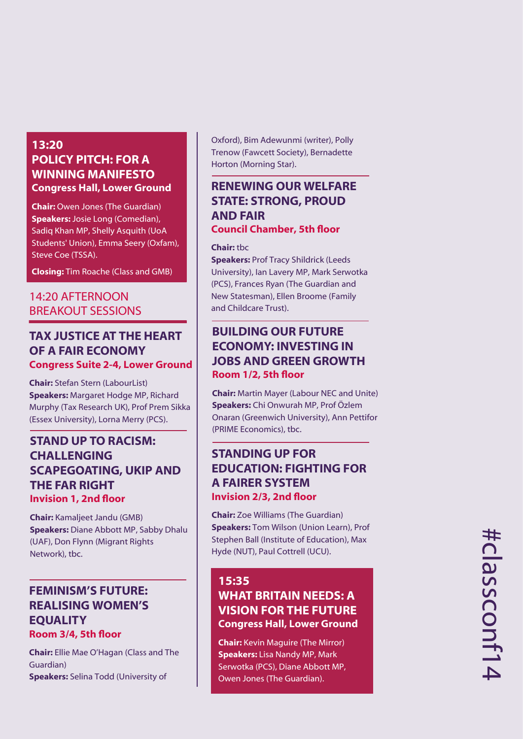#### **13:20 POLICY PITCH: FOR A WINNING MANIFESTO Congress Hall, Lower Ground**

**Chair:** Owen Jones (The Guardian) **Speakers:** Josie Long (Comedian), Sadiq Khan MP, Shelly Asquith (UoA Students' Union), Emma Seery (Oxfam), Steve Coe (TSSA).

**Closing:** Tim Roache (Class and GMB)

#### 14:20 AFTERNOON BREAKOUT SESSIONS

#### **TAX JUSTICE AT THE HEART OF A FAIR ECONOMY Congress Suite 2 -4, Lower Ground**

**Chair:** Stefan Stern (LabourList) **Speakers:** Margaret Hodge MP, Richard Murphy (Tax Research UK), Prof Prem Sikka (Essex University), Lorna Merry (PCS).

#### **STAND UP TO RACISM: CHALLENGING SCAPEGOATING, UKIP AND THE FAR RIGHT Invision 1, 2nd floor**

**Chair:** Kamaljeet Jandu (GMB) **Speakers:** Diane Abbott MP, Sabby Dhalu (UAF), Don Flynn (Migrant Rights Network), tbc.

#### **FEMINISM'S FUTURE: REALISING WOMEN'S EQUALITY Room 3/4, 5th floor**

**Chair:** Ellie Mae O'Hagan (Class and The Guardian) **Speakers:** Selina Todd (University of

Oxford), Bim Adewunmi (writer), Polly Trenow (Fawcett Society), Bernadette Horton (Morning Star).

#### **RENEWING OUR WELFARE STATE: STRONG, PROUD AND FAIR Council Chamber, 5th floor**

#### **Chair:** tbc

**Speakers: Prof Tracy Shildrick (Leeds)** University), Ian Lavery MP, Mark Serwotka (PCS), Frances Ryan (The Guardian and New Statesman), Ellen Broome (Family and Childcare Trust).

#### **BUILDING OUR FUTURE ECONOMY: INVESTING IN JOBS AND GREEN GROWTH Room 1/2, 5th floor**

**Chair:** Martin Mayer (Labour NEC and Unite) **Speakers:** Chi Onwurah MP, Prof Özlem Onaran (Greenwich University), Ann Pettifor (PRIME Economics), tbc.

#### **STANDING UP FOR EDUCATION: FIGHTING FOR A FAIRER SYSTEM Invision 2/3, 2nd floor**

**Chair:** Zoe Williams (The Guardian) **Speakers:** Tom Wilson (Union Learn), Prof Stephen Ball (Institute of Education), Max Hyde (NUT), Paul Cottrell (UCU).

#### **15:35 WHAT BRITAIN NEEDS: A VISION FOR THE FUTURE Congress Hall, Lower Ground**

**Chair:** Kevin Maguire (The Mirror) **Speakers:** Lisa Nandy MP, Mark Serwotka (PCS), Diane Abbott MP, Owen Jones (The Guardian).